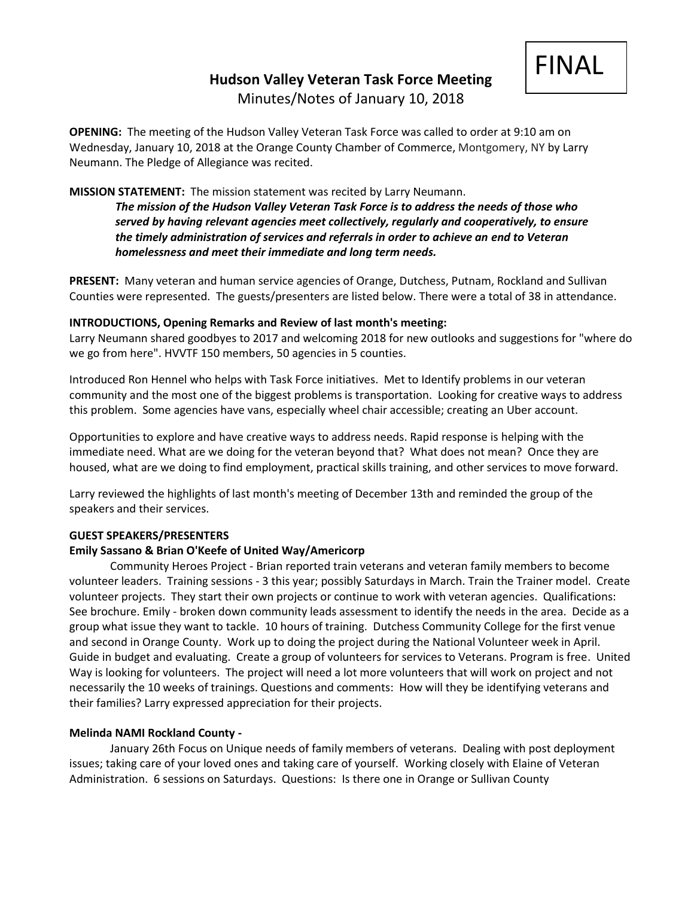# **Hudson Valley Veteran Task Force Meeting**



Minutes/Notes of January 10, 2018

**OPENING:** The meeting of the Hudson Valley Veteran Task Force was called to order at 9:10 am on Wednesday, January 10, 2018 at the Orange County Chamber of Commerce, Montgomery, NY by Larry Neumann. The Pledge of Allegiance was recited.

# **MISSION STATEMENT:** The mission statement was recited by Larry Neumann.

*The mission of the Hudson Valley Veteran Task Force is to address the needs of those who served by having relevant agencies meet collectively, regularly and cooperatively, to ensure the timely administration of services and referrals in order to achieve an end to Veteran homelessness and meet their immediate and long term needs.* 

**PRESENT:** Many veteran and human service agencies of Orange, Dutchess, Putnam, Rockland and Sullivan Counties were represented. The guests/presenters are listed below. There were a total of 38 in attendance.

# **INTRODUCTIONS, Opening Remarks and Review of last month's meeting:**

Larry Neumann shared goodbyes to 2017 and welcoming 2018 for new outlooks and suggestions for "where do we go from here". HVVTF 150 members, 50 agencies in 5 counties.

Introduced Ron Hennel who helps with Task Force initiatives. Met to Identify problems in our veteran community and the most one of the biggest problems is transportation. Looking for creative ways to address this problem. Some agencies have vans, especially wheel chair accessible; creating an Uber account.

Opportunities to explore and have creative ways to address needs. Rapid response is helping with the immediate need. What are we doing for the veteran beyond that? What does not mean? Once they are housed, what are we doing to find employment, practical skills training, and other services to move forward.

Larry reviewed the highlights of last month's meeting of December 13th and reminded the group of the speakers and their services.

# **GUEST SPEAKERS/PRESENTERS**

# **Emily Sassano & Brian O'Keefe of United Way/Americorp**

Community Heroes Project - Brian reported train veterans and veteran family members to become volunteer leaders. Training sessions - 3 this year; possibly Saturdays in March. Train the Trainer model. Create volunteer projects. They start their own projects or continue to work with veteran agencies. Qualifications: See brochure. Emily - broken down community leads assessment to identify the needs in the area. Decide as a group what issue they want to tackle. 10 hours of training. Dutchess Community College for the first venue and second in Orange County. Work up to doing the project during the National Volunteer week in April. Guide in budget and evaluating. Create a group of volunteers for services to Veterans. Program is free. United Way is looking for volunteers. The project will need a lot more volunteers that will work on project and not necessarily the 10 weeks of trainings. Questions and comments: How will they be identifying veterans and their families? Larry expressed appreciation for their projects.

# **Melinda NAMI Rockland County -**

January 26th Focus on Unique needs of family members of veterans. Dealing with post deployment issues; taking care of your loved ones and taking care of yourself. Working closely with Elaine of Veteran Administration. 6 sessions on Saturdays. Questions: Is there one in Orange or Sullivan County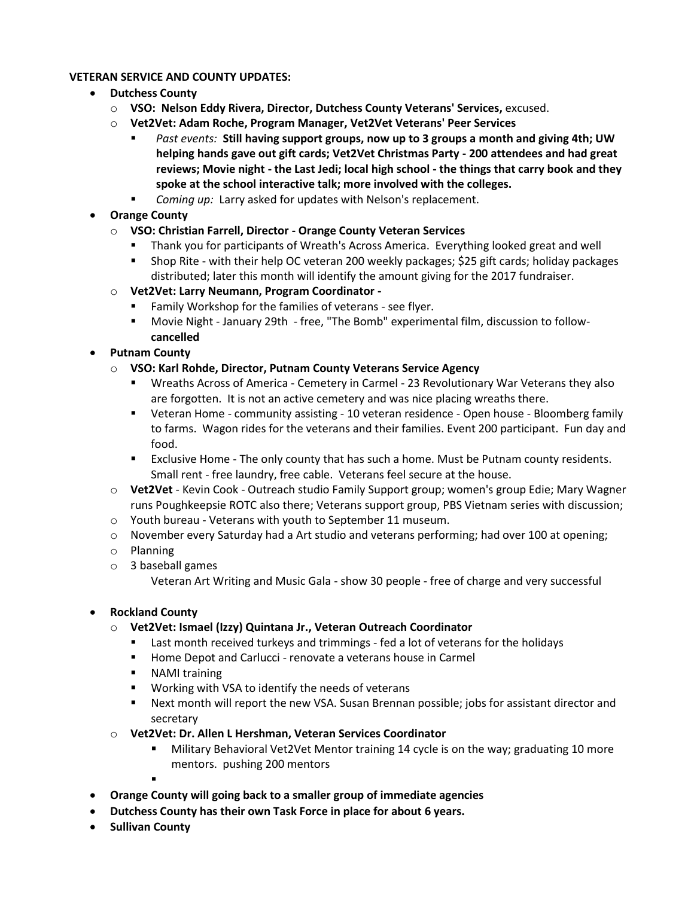# **VETERAN SERVICE AND COUNTY UPDATES:**

- **Dutchess County**
	- o **VSO: Nelson Eddy Rivera, Director, Dutchess County Veterans' Services,** excused.
	- o **Vet2Vet: Adam Roche, Program Manager, Vet2Vet Veterans' Peer Services**
		- *Past events:* **Still having support groups, now up to 3 groups a month and giving 4th; UW helping hands gave out gift cards; Vet2Vet Christmas Party - 200 attendees and had great reviews; Movie night - the Last Jedi; local high school - the things that carry book and they spoke at the school interactive talk; more involved with the colleges.**
		- *Coming up:* Larry asked for updates with Nelson's replacement.

# • **Orange County**

- o **VSO: Christian Farrell, Director - Orange County Veteran Services**
	- Thank you for participants of Wreath's Across America. Everything looked great and well
	- Shop Rite with their help OC veteran 200 weekly packages; \$25 gift cards; holiday packages distributed; later this month will identify the amount giving for the 2017 fundraiser.
- o **Vet2Vet: Larry Neumann, Program Coordinator -**
	- Family Workshop for the families of veterans see flyer.
	- Movie Night January 29th free, "The Bomb" experimental film, discussion to follow**cancelled**
- **Putnam County**
	- o **VSO: Karl Rohde, Director, Putnam County Veterans Service Agency**
		- Wreaths Across of America Cemetery in Carmel 23 Revolutionary War Veterans they also are forgotten. It is not an active cemetery and was nice placing wreaths there.
		- Veteran Home community assisting 10 veteran residence Open house Bloomberg family to farms. Wagon rides for the veterans and their families. Event 200 participant. Fun day and food.
		- Exclusive Home The only county that has such a home. Must be Putnam county residents. Small rent - free laundry, free cable. Veterans feel secure at the house.
	- o **Vet2Vet** Kevin Cook Outreach studio Family Support group; women's group Edie; Mary Wagner runs Poughkeepsie ROTC also there; Veterans support group, PBS Vietnam series with discussion;
	- o Youth bureau Veterans with youth to September 11 museum.
	- o November every Saturday had a Art studio and veterans performing; had over 100 at opening;
	- o Planning
	- o 3 baseball games

Veteran Art Writing and Music Gala - show 30 people - free of charge and very successful

# • **Rockland County**

- o **Vet2Vet: Ismael (Izzy) Quintana Jr., Veteran Outreach Coordinator**
	- Last month received turkeys and trimmings fed a lot of veterans for the holidays
	- Home Depot and Carlucci renovate a veterans house in Carmel
	- NAMI training
	- Working with VSA to identify the needs of veterans
	- Next month will report the new VSA. Susan Brennan possible; jobs for assistant director and secretary
- o **Vet2Vet: Dr. Allen L Hershman, Veteran Services Coordinator**
	- Military Behavioral Vet2Vet Mentor training 14 cycle is on the way; graduating 10 more mentors. pushing 200 mentors
	- ▪
- **Orange County will going back to a smaller group of immediate agencies**
- **Dutchess County has their own Task Force in place for about 6 years.**
- **Sullivan County**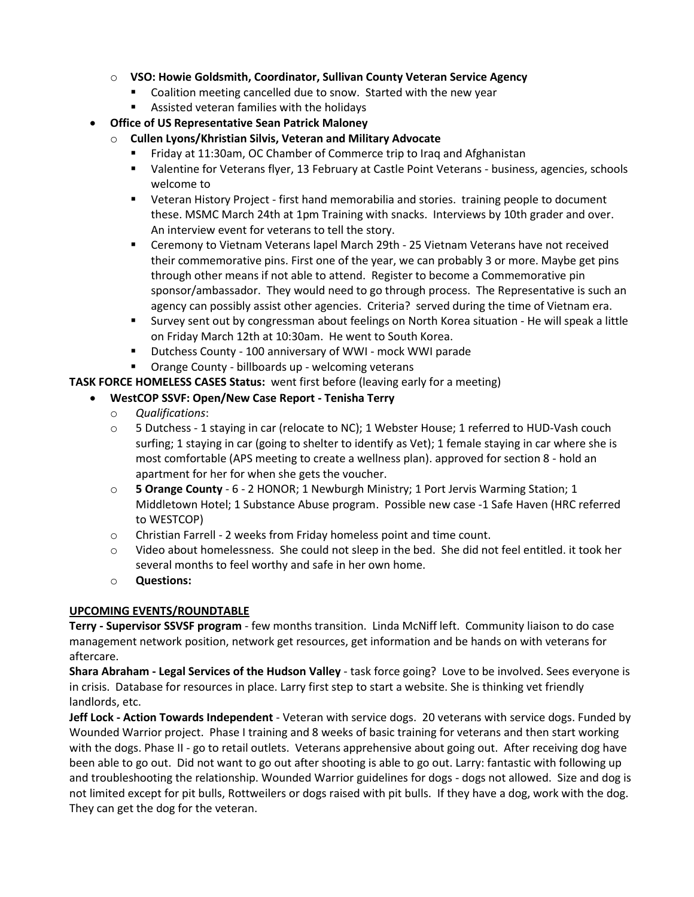- o **VSO: Howie Goldsmith, Coordinator, Sullivan County Veteran Service Agency**
	- Coalition meeting cancelled due to snow. Started with the new year
	- Assisted veteran families with the holidays
- **Office of US Representative Sean Patrick Maloney**
	- o **Cullen Lyons/Khristian Silvis, Veteran and Military Advocate**
		- Friday at 11:30am, OC Chamber of Commerce trip to Iraq and Afghanistan
		- Valentine for Veterans flyer, 13 February at Castle Point Veterans business, agencies, schools welcome to
		- Veteran History Project first hand memorabilia and stories. training people to document these. MSMC March 24th at 1pm Training with snacks. Interviews by 10th grader and over. An interview event for veterans to tell the story.
		- Ceremony to Vietnam Veterans lapel March 29th 25 Vietnam Veterans have not received their commemorative pins. First one of the year, we can probably 3 or more. Maybe get pins through other means if not able to attend. Register to become a Commemorative pin sponsor/ambassador. They would need to go through process. The Representative is such an agency can possibly assist other agencies. Criteria? served during the time of Vietnam era.
		- Survey sent out by congressman about feelings on North Korea situation He will speak a little on Friday March 12th at 10:30am. He went to South Korea.
		- Dutchess County 100 anniversary of WWI mock WWI parade
		- Orange County billboards up welcoming veterans

**TASK FORCE HOMELESS CASES Status:** went first before (leaving early for a meeting)

# • **WestCOP SSVF: Open/New Case Report - Tenisha Terry**

- o *Qualifications*:
- o 5 Dutchess 1 staying in car (relocate to NC); 1 Webster House; 1 referred to HUD-Vash couch surfing; 1 staying in car (going to shelter to identify as Vet); 1 female staying in car where she is most comfortable (APS meeting to create a wellness plan). approved for section 8 - hold an apartment for her for when she gets the voucher.
- o **5 Orange County** 6 2 HONOR; 1 Newburgh Ministry; 1 Port Jervis Warming Station; 1 Middletown Hotel; 1 Substance Abuse program. Possible new case -1 Safe Haven (HRC referred to WESTCOP)
- o Christian Farrell 2 weeks from Friday homeless point and time count.
- o Video about homelessness. She could not sleep in the bed. She did not feel entitled. it took her several months to feel worthy and safe in her own home.
- o **Questions:**

# **UPCOMING EVENTS/ROUNDTABLE**

**Terry - Supervisor SSVSF program** - few months transition. Linda McNiff left. Community liaison to do case management network position, network get resources, get information and be hands on with veterans for aftercare.

**Shara Abraham - Legal Services of the Hudson Valley** - task force going? Love to be involved. Sees everyone is in crisis. Database for resources in place. Larry first step to start a website. She is thinking vet friendly landlords, etc.

**Jeff Lock - Action Towards Independent** - Veteran with service dogs. 20 veterans with service dogs. Funded by Wounded Warrior project. Phase I training and 8 weeks of basic training for veterans and then start working with the dogs. Phase II - go to retail outlets. Veterans apprehensive about going out. After receiving dog have been able to go out. Did not want to go out after shooting is able to go out. Larry: fantastic with following up and troubleshooting the relationship. Wounded Warrior guidelines for dogs - dogs not allowed. Size and dog is not limited except for pit bulls, Rottweilers or dogs raised with pit bulls. If they have a dog, work with the dog. They can get the dog for the veteran.